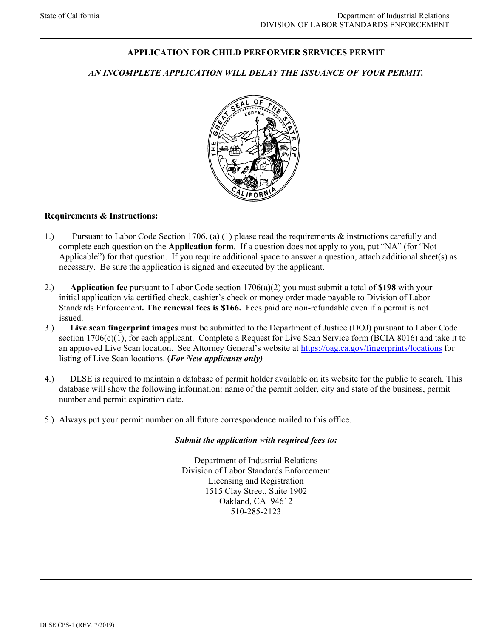# **APPLICATION FOR CHILD PERFORMER SERVICES PERMIT**

## *AN INCOMPLETE APPLICATION WILL DELAY THE ISSUANCE OF YOUR PERMIT.*



### **Requirements & Instructions:**

- 1.) Pursuant to Labor Code Section 1706, (a) (1) please read the requirements & instructions carefully and complete each question on the **Application form**. If a question does not apply to you, put "NA" (for "Not Applicable") for that question. If you require additional space to answer a question, attach additional sheet(s) as necessary. Be sure the application is signed and executed by the applicant.
- 2.) **Application fee** pursuant to Labor Code section 1706(a)(2) you must submit a total of **\$198** with your initial application via certified check, cashier's check or money order made payable to Division of Labor Standards Enforcement**. The renewal fees is \$166.** Fees paid are non-refundable even if a permit is not issued.
- 3.) **Live scan fingerprint images** must be submitted to the Department of Justice (DOJ) pursuant to Labor Code section 1706(c)(1), for each applicant. Complete a Request for Live Scan Service form (BCIA 8016) and take it to an approved Live Scan location. See Attorney General's website at<https://oag.ca.gov/fingerprints/locations>for listing of Live Scan locations. (*For New applicants only)*
- 4.) DLSE is required to maintain a database of permit holder available on its website for the public to search. This database will show the following information: name of the permit holder, city and state of the business, permit number and permit expiration date.
- 5.) Always put your permit number on all future correspondence mailed to this office.

### *Submit the application with required fees to:*

Department of Industrial Relations Division of Labor Standards Enforcement Licensing and Registration 1515 Clay Street, Suite 1902 Oakland, CA 94612 510-285-2123